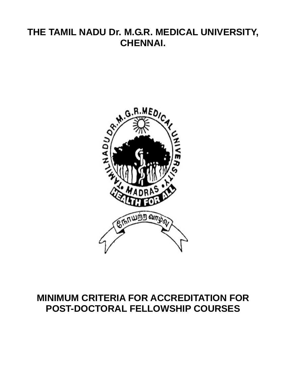# **THE TAMIL NADU Dr. M.G.R. MEDICAL UNIVERSITY, CHENNAI.**



# **MINIMUM CRITERIA FOR ACCREDITATION FOR POST-DOCTORAL FELLOWSHIP COURSES**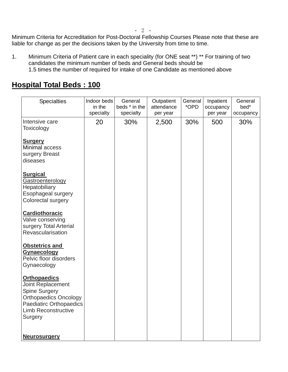- 2 -

Minimum Criteria for Accreditation for Post-Doctoral Fellowship Courses Please note that these are liable for change as per the decisions taken by the University from time to time.

1. Minimum Criteria of Patient care in each speciality (for ONE seat \*\*) \*\* For training of two candidates the minimum number of beds and General beds should be 1.5 times the number of required for intake of one Candidate as mentioned above

## **Hospital Total Beds : 100**

| <b>Specialties</b>                                                                                                                                                          | Indoor beds<br>in the<br>specialty | General<br>beds * in the<br>specialty | Outpatient<br>attendance<br>per year | General<br>*OPD | Inpatient<br>occupancy<br>per year | General<br>bed*<br>occupancy |
|-----------------------------------------------------------------------------------------------------------------------------------------------------------------------------|------------------------------------|---------------------------------------|--------------------------------------|-----------------|------------------------------------|------------------------------|
| Intensive care<br>Toxicology                                                                                                                                                | 20                                 | 30%                                   | 2,500                                | 30%             | 500                                | 30%                          |
| <b>Surgery</b><br>Minimal access<br>surgery Breast<br>diseases                                                                                                              |                                    |                                       |                                      |                 |                                    |                              |
| <b>Surgical</b><br>Gastroenterology<br>Hepatobiliary<br>Esophageal surgery<br>Colorectal surgery                                                                            |                                    |                                       |                                      |                 |                                    |                              |
| <b>Cardiothoracic</b><br>Valve conserving<br>surgery Total Arterial<br>Revascularisation                                                                                    |                                    |                                       |                                      |                 |                                    |                              |
| <b>Obstetrics and</b><br><b>Gynaecology</b><br>Pelvic floor disorders<br>Gynaecology                                                                                        |                                    |                                       |                                      |                 |                                    |                              |
| <b>Orthopaedics</b><br>Joint Replacement<br>Spine Surgery<br><b>Orthopaedics Oncology</b><br><b>Paediatirc Orthopaedics</b><br><b>Limb Reconstructive</b><br><b>Surgery</b> |                                    |                                       |                                      |                 |                                    |                              |
| <b>Neurosurgery</b>                                                                                                                                                         |                                    |                                       |                                      |                 |                                    |                              |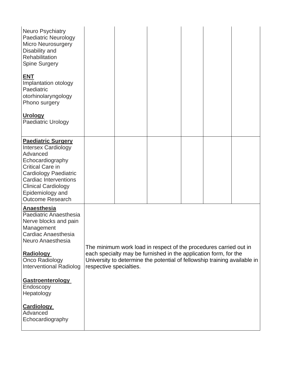| <b>Neuro Psychiatry</b><br><b>Paediatric Neurology</b><br>Micro Neurosurgery<br>Disability and<br>Rehabilitation<br><b>Spine Surgery</b>                                                                                                                 |                                                                                                                                                                          |  |                                                                   |  |  |  |  |
|----------------------------------------------------------------------------------------------------------------------------------------------------------------------------------------------------------------------------------------------------------|--------------------------------------------------------------------------------------------------------------------------------------------------------------------------|--|-------------------------------------------------------------------|--|--|--|--|
| <u>ENT</u><br>Implantation otology<br>Paediatric<br>otorhinolaryngology<br>Phono surgery                                                                                                                                                                 |                                                                                                                                                                          |  |                                                                   |  |  |  |  |
| <b>Urology</b><br><b>Paediatric Urology</b>                                                                                                                                                                                                              |                                                                                                                                                                          |  |                                                                   |  |  |  |  |
| <b>Paediatric Surgery</b><br><b>Intersex Cardiology</b><br>Advanced<br>Echocardiography<br><b>Critical Care in</b><br>Cardiology Paediatric<br><b>Cardiac Interventions</b><br><b>Clinical Cardiology</b><br>Epidemiology and<br><b>Outcome Research</b> |                                                                                                                                                                          |  |                                                                   |  |  |  |  |
| <b>Anaesthesia</b><br>Paediatric Anaesthesia<br>Nerve blocks and pain<br>Management<br>Cardiac Anaesthesia<br>Neuro Anaesthesia                                                                                                                          |                                                                                                                                                                          |  | The minimum work load in respect of the procedures carried out in |  |  |  |  |
| <b>Radiology</b><br>Onco Radiology<br><b>Interventional Radiolog</b>                                                                                                                                                                                     | each specialty may be furnished in the application form, for the<br>University to determine the potential of fellowship training available in<br>respective specialties. |  |                                                                   |  |  |  |  |
| <b>Gastroenterology</b><br>Endoscopy<br>Hepatology                                                                                                                                                                                                       |                                                                                                                                                                          |  |                                                                   |  |  |  |  |
| <b>Cardiology</b><br>Advanced<br>Echocardiography                                                                                                                                                                                                        |                                                                                                                                                                          |  |                                                                   |  |  |  |  |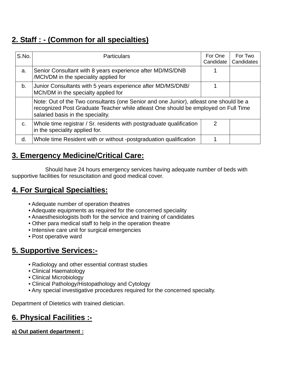# **2. Staff : - (Common for all specialties)**

| S.No. | <b>Particulars</b>                                                                                                                                                                                               | For One<br>Candidate | For Two<br>Candidates |  |  |
|-------|------------------------------------------------------------------------------------------------------------------------------------------------------------------------------------------------------------------|----------------------|-----------------------|--|--|
| a.    | Senior Consultant with 8 years experience after MD/MS/DNB<br>/MCh/DM in the speciality applied for                                                                                                               |                      |                       |  |  |
| b.    | Junior Consultants with 5 years experience after MD/MS/DNB/<br>MCh/DM in the specialty applied for                                                                                                               |                      |                       |  |  |
|       | Note: Out of the Two consultants (one Senior and one Junior), atleast one should be a<br>recognized Post Graduate Teacher while atleast One should be employed on Full Time<br>salaried basis in the speciality. |                      |                       |  |  |
| C.    | Whole time registrar / Sr. residents with postgraduate qualification<br>in the speciality applied for.                                                                                                           | $\mathcal{P}$        |                       |  |  |
| d.    | Whole time Resident with or without -postgraduation qualification                                                                                                                                                |                      |                       |  |  |

# **3. Emergency Medicine/Critical Care:**

 Should have 24 hours emergency services having adequate number of beds with supportive facilities for resuscitation and good medical cover.

# **4. For Surgical Specialties:**

- Adequate number of operation theatres
- Adequate equipments as required for the concerned speciality
- Anaesthesiologists both for the service and training of candidates
- Other para medical staff to help in the operation theatre
- Intensive care unit for surgical emergencies
- Post operative ward

# **5. Supportive Services:-**

- Radiology and other essential contrast studies
- Clinical Haematology
- Clinical Microbiology
- Clinical Pathology/Histopathology and Cytology
- Any special investigative procedures required for the concerned specialty.

Department of Dietetics with trained dietician.

# **6. Physical Facilities :-**

#### **a) Out patient department :**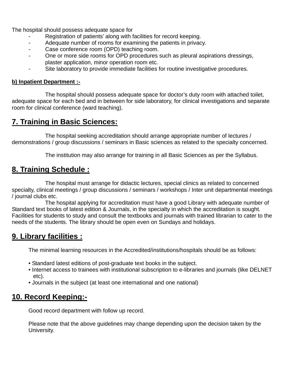The hospital should possess adequate space for

- Registration of patients' along with facilities for record keeping.
- Adequate number of rooms for examining the patients in privacy.
- Case conference room (OPD) teaching room.
- One or more side rooms for OPD procedures such as pleural aspirations dressings, plaster application, minor operation room etc.
- Site laboratory to provide immediate facilities for routine investigative procedures.

#### **b) Inpatient Department :-**

 The hospital should possess adequate space for doctor's duty room with attached toilet, adequate space for each bed and in between for side laboratory, for clinical investigations and separate room for clinical conference (ward teaching).

## **7. Training in Basic Sciences:**

 The hospital seeking accreditation should arrange appropriate number of lectures / demonstrations / group discussions / seminars in Basic sciences as related to the specialty concerned.

The institution may also arrange for training in all Basic Sciences as per the Syllabus.

### **8. Training Schedule :**

 The hospital must arrange for didactic lectures, special clinics as related to concerned specialty, clinical meetings / group discussions / seminars / workshops / Inter unit departmental meetings / journal clubs etc.

 The hospital applying for accreditation must have a good Library with adequate number of Standard text books of latest edition & Journals, in the specialty in which the accreditation is sought. Facilities for students to study and consult the textbooks and journals with trained librarian to cater to the needs of the students. The library should be open even on Sundays and holidays.

#### **9. Library facilities :**

The minimal learning resources in the Accredited/institutions/hospitals should be as follows:

- Standard latest editions of post-graduate text books in the subject.
- Internet access to trainees with institutional subscription to e-libraries and journals (like DELNET etc).
- Journals in the subject (at least one international and one national)

### **10. Record Keeping:-**

Good record department with follow up record.

 Please note that the above guidelines may change depending upon the decision taken by the University.